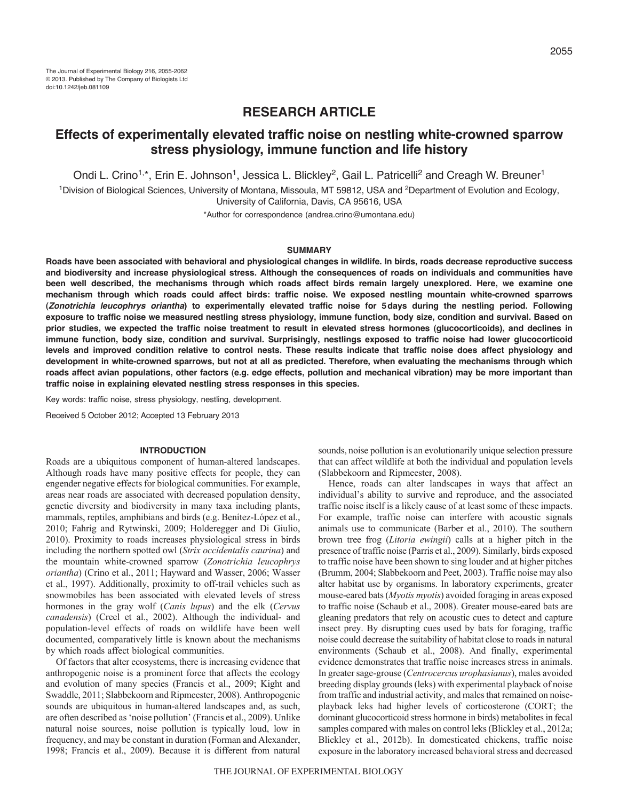# **RESEARCH ARTICLE**

# **Effects of experimentally elevated traffic noise on nestling white-crowned sparrow stress physiology, immune function and life history**

Ondi L. Crino<sup>1,\*</sup>, Erin E. Johnson<sup>1</sup>, Jessica L. Blickley<sup>2</sup>, Gail L. Patricelli<sup>2</sup> and Creagh W. Breuner<sup>1</sup>

<sup>1</sup>Division of Biological Sciences, University of Montana, Missoula, MT 59812, USA and <sup>2</sup>Department of Evolution and Ecology, University of California, Davis, CA 95616, USA

\*Author for correspondence (andrea.crino@umontana.edu)

## **SUMMARY**

**Roads have been associated with behavioral and physiological changes in wildlife. In birds, roads decrease reproductive success and biodiversity and increase physiological stress. Although the consequences of roads on individuals and communities have been well described, the mechanisms through which roads affect birds remain largely unexplored. Here, we examine one mechanism through which roads could affect birds: traffic noise. We exposed nestling mountain white-crowned sparrows (***Zonotrichia leucophrys oriantha***) to experimentally elevated traffic noise for 5days during the nestling period. Following exposure to traffic noise we measured nestling stress physiology, immune function, body size, condition and survival. Based on prior studies, we expected the traffic noise treatment to result in elevated stress hormones (glucocorticoids), and declines in immune function, body size, condition and survival. Surprisingly, nestlings exposed to traffic noise had lower glucocorticoid levels and improved condition relative to control nests. These results indicate that traffic noise does affect physiology and development in white-crowned sparrows, but not at all as predicted. Therefore, when evaluating the mechanisms through which roads affect avian populations, other factors (e.g. edge effects, pollution and mechanical vibration) may be more important than traffic noise in explaining elevated nestling stress responses in this species.**

Key words: traffic noise, stress physiology, nestling, development.

Received 5 October 2012; Accepted 13 February 2013

## **INTRODUCTION**

Roads are a ubiquitous component of human-altered landscapes. Although roads have many positive effects for people, they can engender negative effects for biological communities. For example, areas near roads are associated with decreased population density, genetic diversity and biodiversity in many taxa including plants, mammals, reptiles, amphibians and birds (e.g. Benítez-López et al., 2010; Fahrig and Rytwinski, 2009; Holderegger and Di Giulio, 2010). Proximity to roads increases physiological stress in birds including the northern spotted owl (*Strix occidentalis caurina*) and the mountain white-crowned sparrow (*Zonotrichia leucophrys oriantha*) (Crino et al., 2011; Hayward and Wasser, 2006; Wasser et al., 1997). Additionally, proximity to off-trail vehicles such as snowmobiles has been associated with elevated levels of stress hormones in the gray wolf (*Canis lupus*) and the elk (*Cervus canadensis*) (Creel et al., 2002). Although the individual- and population-level effects of roads on wildlife have been well documented, comparatively little is known about the mechanisms by which roads affect biological communities.

Of factors that alter ecosystems, there is increasing evidence that anthropogenic noise is a prominent force that affects the ecology and evolution of many species (Francis et al., 2009; Kight and Swaddle, 2011; Slabbekoorn and Ripmeester, 2008). Anthropogenic sounds are ubiquitous in human-altered landscapes and, as such, are often described as 'noise pollution' (Francis et al., 2009). Unlike natural noise sources, noise pollution is typically loud, low in frequency, and may be constant in duration (Forman and Alexander, 1998; Francis et al., 2009). Because it is different from natural

sounds, noise pollution is an evolutionarily unique selection pressure that can affect wildlife at both the individual and population levels (Slabbekoorn and Ripmeester, 2008).

Hence, roads can alter landscapes in ways that affect an individual's ability to survive and reproduce, and the associated traffic noise itself is a likely cause of at least some of these impacts. For example, traffic noise can interfere with acoustic signals animals use to communicate (Barber et al., 2010). The southern brown tree frog (*Litoria ewingii*) calls at a higher pitch in the presence of traffic noise (Parris et al., 2009). Similarly, birds exposed to traffic noise have been shown to sing louder and at higher pitches (Brumm, 2004; Slabbekoorn and Peet, 2003). Traffic noise may also alter habitat use by organisms. In laboratory experiments, greater mouse-eared bats (*Myotis myotis*) avoided foraging in areas exposed to traffic noise (Schaub et al., 2008). Greater mouse-eared bats are gleaning predators that rely on acoustic cues to detect and capture insect prey. By disrupting cues used by bats for foraging, traffic noise could decrease the suitability of habitat close to roads in natural environments (Schaub et al., 2008). And finally, experimental evidence demonstrates that traffic noise increases stress in animals. In greater sage-grouse (*Centrocercus urophasianus*), males avoided breeding display grounds (leks) with experimental playback of noise from traffic and industrial activity, and males that remained on noiseplayback leks had higher levels of corticosterone (CORT; the dominant glucocorticoid stress hormone in birds) metabolites in fecal samples compared with males on control leks (Blickley et al., 2012a; Blickley et al., 2012b). In domesticated chickens, traffic noise exposure in the laboratory increased behavioral stress and decreased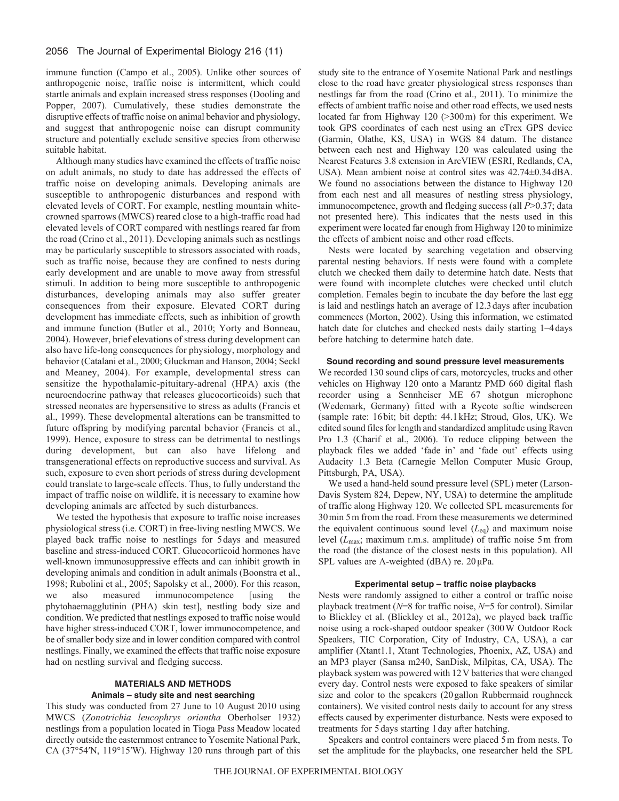immune function (Campo et al., 2005). Unlike other sources of anthropogenic noise, traffic noise is intermittent, which could startle animals and explain increased stress responses (Dooling and Popper, 2007). Cumulatively, these studies demonstrate the disruptive effects of traffic noise on animal behavior and physiology, and suggest that anthropogenic noise can disrupt community structure and potentially exclude sensitive species from otherwise suitable habitat.

Although many studies have examined the effects of traffic noise on adult animals, no study to date has addressed the effects of traffic noise on developing animals. Developing animals are susceptible to anthropogenic disturbances and respond with elevated levels of CORT. For example, nestling mountain whitecrowned sparrows (MWCS) reared close to a high-traffic road had elevated levels of CORT compared with nestlings reared far from the road (Crino et al., 2011). Developing animals such as nestlings may be particularly susceptible to stressors associated with roads, such as traffic noise, because they are confined to nests during early development and are unable to move away from stressful stimuli. In addition to being more susceptible to anthropogenic disturbances, developing animals may also suffer greater consequences from their exposure. Elevated CORT during development has immediate effects, such as inhibition of growth and immune function (Butler et al., 2010; Yorty and Bonneau, 2004). However, brief elevations of stress during development can also have life-long consequences for physiology, morphology and behavior (Catalani et al., 2000; Gluckman and Hanson, 2004; Seckl and Meaney, 2004). For example, developmental stress can sensitize the hypothalamic-pituitary-adrenal (HPA) axis (the neuroendocrine pathway that releases glucocorticoids) such that stressed neonates are hypersensitive to stress as adults (Francis et al., 1999). These developmental alterations can be transmitted to future offspring by modifying parental behavior (Francis et al., 1999). Hence, exposure to stress can be detrimental to nestlings during development, but can also have lifelong and transgenerational effects on reproductive success and survival. As such, exposure to even short periods of stress during development could translate to large-scale effects. Thus, to fully understand the impact of traffic noise on wildlife, it is necessary to examine how developing animals are affected by such disturbances.

We tested the hypothesis that exposure to traffic noise increases physiological stress (i.e. CORT) in free-living nestling MWCS. We played back traffic noise to nestlings for 5days and measured baseline and stress-induced CORT. Glucocorticoid hormones have well-known immunosuppressive effects and can inhibit growth in developing animals and condition in adult animals (Boonstra et al., 1998; Rubolini et al., 2005; Sapolsky et al., 2000). For this reason, we also measured immunocompetence [using the phytohaemagglutinin (PHA) skin test], nestling body size and condition. We predicted that nestlings exposed to traffic noise would have higher stress-induced CORT, lower immunocompetence, and be of smaller body size and in lower condition compared with control nestlings. Finally, we examined the effects that traffic noise exposure had on nestling survival and fledging success.

# **MATERIALS AND METHODS Animals – study site and nest searching**

This study was conducted from 27 June to 10 August 2010 using MWCS (*Zonotrichia leucophrys oriantha* Oberholser 1932) nestlings from a population located in Tioga Pass Meadow located directly outside the easternmost entrance to Yosemite National Park, CA (37°54′N, 119°15′W). Highway 120 runs through part of this study site to the entrance of Yosemite National Park and nestlings close to the road have greater physiological stress responses than nestlings far from the road (Crino et al., 2011). To minimize the effects of ambient traffic noise and other road effects, we used nests located far from Highway 120 (>300m) for this experiment. We took GPS coordinates of each nest using an eTrex GPS device (Garmin, Olathe, KS, USA) in WGS 84 datum. The distance between each nest and Highway 120 was calculated using the Nearest Features 3.8 extension in ArcVIEW (ESRI, Redlands, CA, USA). Mean ambient noise at control sites was 42.74±0.34dBA. We found no associations between the distance to Highway 120 from each nest and all measures of nestling stress physiology, immunocompetence, growth and fledging success (all *P*>0.37; data not presented here). This indicates that the nests used in this experiment were located far enough from Highway 120 to minimize the effects of ambient noise and other road effects.

Nests were located by searching vegetation and observing parental nesting behaviors. If nests were found with a complete clutch we checked them daily to determine hatch date. Nests that were found with incomplete clutches were checked until clutch completion. Females begin to incubate the day before the last egg is laid and nestlings hatch an average of 12.3days after incubation commences (Morton, 2002). Using this information, we estimated hatch date for clutches and checked nests daily starting 1–4days before hatching to determine hatch date.

# **Sound recording and sound pressure level measurements**

We recorded 130 sound clips of cars, motorcycles, trucks and other vehicles on Highway 120 onto a Marantz PMD 660 digital flash recorder using a Sennheiser ME 67 shotgun microphone (Wedemark, Germany) fitted with a Rycote softie windscreen (sample rate: 16bit; bit depth: 44.1kHz; Stroud, Glos, UK). We edited sound files for length and standardized amplitude using Raven Pro 1.3 (Charif et al., 2006). To reduce clipping between the playback files we added 'fade in' and 'fade out' effects using Audacity 1.3 Beta (Carnegie Mellon Computer Music Group, Pittsburgh, PA, USA).

We used a hand-held sound pressure level (SPL) meter (Larson-Davis System 824, Depew, NY, USA) to determine the amplitude of traffic along Highway 120. We collected SPL measurements for 30min 5m from the road. From these measurements we determined the equivalent continuous sound level (*L*eq) and maximum noise level (*L*max; maximum r.m.s. amplitude) of traffic noise 5m from the road (the distance of the closest nests in this population). All SPL values are A-weighted (dBA) re. 20μPa.

#### **Experimental setup – traffic noise playbacks**

Nests were randomly assigned to either a control or traffic noise playback treatment (*N*=8 for traffic noise, *N*=5 for control). Similar to Blickley et al. (Blickley et al., 2012a), we played back traffic noise using a rock-shaped outdoor speaker (300W Outdoor Rock Speakers, TIC Corporation, City of Industry, CA, USA), a car amplifier (Xtant1.1, Xtant Technologies, Phoenix, AZ, USA) and an MP3 player (Sansa m240, SanDisk, Milpitas, CA, USA). The playback system was powered with 12V batteries that were changed every day. Control nests were exposed to fake speakers of similar size and color to the speakers (20gallon Rubbermaid roughneck containers). We visited control nests daily to account for any stress effects caused by experimenter disturbance. Nests were exposed to treatments for 5days starting 1day after hatching.

Speakers and control containers were placed 5m from nests. To set the amplitude for the playbacks, one researcher held the SPL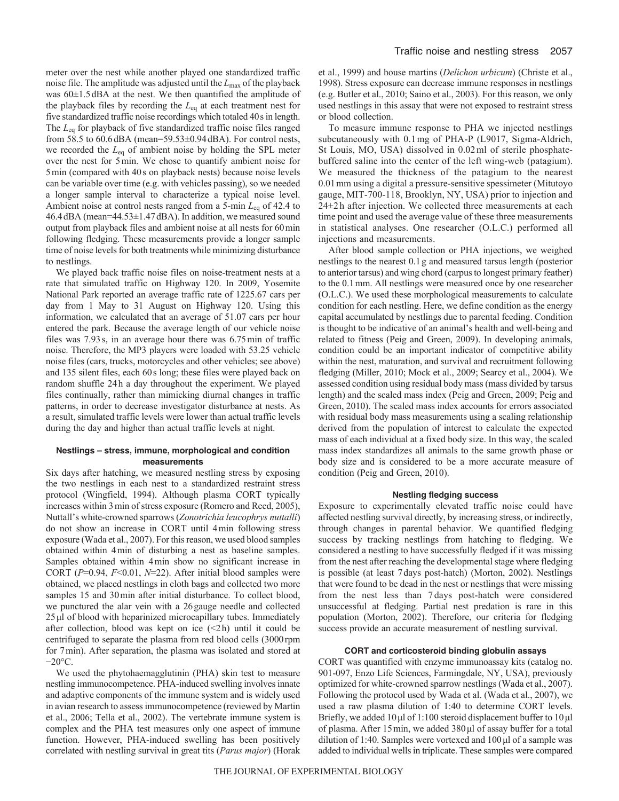meter over the nest while another played one standardized traffic noise file. The amplitude was adjusted until the *L*max of the playback was 60±1.5dBA at the nest. We then quantified the amplitude of the playback files by recording the *L*eq at each treatment nest for five standardized traffic noise recordings which totaled 40s in length. The *L*eq for playback of five standardized traffic noise files ranged from 58.5 to 60.6dBA (mean=59.53±0.94dBA). For control nests, we recorded the *L*eq of ambient noise by holding the SPL meter over the nest for 5min. We chose to quantify ambient noise for 5min (compared with 40s on playback nests) because noise levels can be variable over time (e.g. with vehicles passing), so we needed a longer sample interval to characterize a typical noise level. Ambient noise at control nests ranged from a 5-min *L*eq of 42.4 to 46.4dBA (mean=44.53±1.47dBA). In addition, we measured sound output from playback files and ambient noise at all nests for 60min following fledging. These measurements provide a longer sample time of noise levels for both treatments while minimizing disturbance to nestlings.

We played back traffic noise files on noise-treatment nests at a rate that simulated traffic on Highway 120. In 2009, Yosemite National Park reported an average traffic rate of 1225.67 cars per day from 1 May to 31 August on Highway 120. Using this information, we calculated that an average of 51.07 cars per hour entered the park. Because the average length of our vehicle noise files was 7.93s, in an average hour there was 6.75min of traffic noise. Therefore, the MP3 players were loaded with 53.25 vehicle noise files (cars, trucks, motorcycles and other vehicles; see above) and 135 silent files, each 60s long; these files were played back on random shuffle 24h a day throughout the experiment. We played files continually, rather than mimicking diurnal changes in traffic patterns, in order to decrease investigator disturbance at nests. As a result, simulated traffic levels were lower than actual traffic levels during the day and higher than actual traffic levels at night.

## **Nestlings – stress, immune, morphological and condition measurements**

Six days after hatching, we measured nestling stress by exposing the two nestlings in each nest to a standardized restraint stress protocol (Wingfield, 1994). Although plasma CORT typically increases within 3min of stress exposure (Romero and Reed, 2005), Nuttall's white-crowned sparrows (*Zonotrichia leucophrys nuttalli*) do not show an increase in CORT until 4min following stress exposure (Wada et al., 2007). For this reason, we used blood samples obtained within 4min of disturbing a nest as baseline samples. Samples obtained within 4min show no significant increase in CORT (*P*=0.94, *F*<0.01, *N*=22). After initial blood samples were obtained, we placed nestlings in cloth bags and collected two more samples 15 and 30min after initial disturbance. To collect blood, we punctured the alar vein with a 26gauge needle and collected 25μl of blood with heparinized microcapillary tubes. Immediately after collection, blood was kept on ice  $(\leq 2h)$  until it could be centrifuged to separate the plasma from red blood cells (3000rpm for 7min). After separation, the plasma was isolated and stored at −20°C.

We used the phytohaemagglutinin (PHA) skin test to measure nestling immunocompetence. PHA-induced swelling involves innate and adaptive components of the immune system and is widely used in avian research to assess immunocompetence (reviewed by Martin et al., 2006; Tella et al., 2002). The vertebrate immune system is complex and the PHA test measures only one aspect of immune function. However, PHA-induced swelling has been positively correlated with nestling survival in great tits (*Parus major*) (Horak et al., 1999) and house martins (*Delichon urbicum*) (Christe et al., 1998). Stress exposure can decrease immune responses in nestlings (e.g. Butler et al., 2010; Saino et al., 2003). For this reason, we only used nestlings in this assay that were not exposed to restraint stress or blood collection.

To measure immune response to PHA we injected nestlings subcutaneously with 0.1mg of PHA-P (L9017, Sigma-Aldrich, St Louis, MO, USA) dissolved in 0.02ml of sterile phosphatebuffered saline into the center of the left wing-web (patagium). We measured the thickness of the patagium to the nearest 0.01mm using a digital a pressure-sensitive spessimeter (Mitutoyo gauge, MIT-700-118, Brooklyn, NY, USA) prior to injection and 24±2 h after injection. We collected three measurements at each time point and used the average value of these three measurements in statistical analyses. One researcher (O.L.C.) performed all injections and measurements.

After blood sample collection or PHA injections, we weighed nestlings to the nearest 0.1g and measured tarsus length (posterior to anterior tarsus) and wing chord (carpus to longest primary feather) to the 0.1mm. All nestlings were measured once by one researcher (O.L.C.). We used these morphological measurements to calculate condition for each nestling. Here, we define condition as the energy capital accumulated by nestlings due to parental feeding. Condition is thought to be indicative of an animal's health and well-being and related to fitness (Peig and Green, 2009). In developing animals, condition could be an important indicator of competitive ability within the nest, maturation, and survival and recruitment following fledging (Miller, 2010; Mock et al., 2009; Searcy et al., 2004). We assessed condition using residual body mass (mass divided by tarsus length) and the scaled mass index (Peig and Green, 2009; Peig and Green, 2010). The scaled mass index accounts for errors associated with residual body mass measurements using a scaling relationship derived from the population of interest to calculate the expected mass of each individual at a fixed body size. In this way, the scaled mass index standardizes all animals to the same growth phase or body size and is considered to be a more accurate measure of condition (Peig and Green, 2010).

# **Nestling fledging success**

Exposure to experimentally elevated traffic noise could have affected nestling survival directly, by increasing stress, or indirectly, through changes in parental behavior. We quantified fledging success by tracking nestlings from hatching to fledging. We considered a nestling to have successfully fledged if it was missing from the nest after reaching the developmental stage where fledging is possible (at least 7days post-hatch) (Morton, 2002). Nestlings that were found to be dead in the nest or nestlings that were missing from the nest less than 7 days post-hatch were considered unsuccessful at fledging. Partial nest predation is rare in this population (Morton, 2002). Therefore, our criteria for fledging success provide an accurate measurement of nestling survival.

## **CORT and corticosteroid binding globulin assays**

CORT was quantified with enzyme immunoassay kits (catalog no. 901-097, Enzo Life Sciences, Farmingdale, NY, USA), previously optimized for white-crowned sparrow nestlings (Wada et al., 2007). Following the protocol used by Wada et al. (Wada et al., 2007), we used a raw plasma dilution of 1:40 to determine CORT levels. Briefly, we added 10μl of 1:100 steroid displacement buffer to 10μl of plasma. After 15min, we added 380μl of assay buffer for a total dilution of 1:40. Samples were vortexed and 100μl of a sample was added to individual wells in triplicate. These samples were compared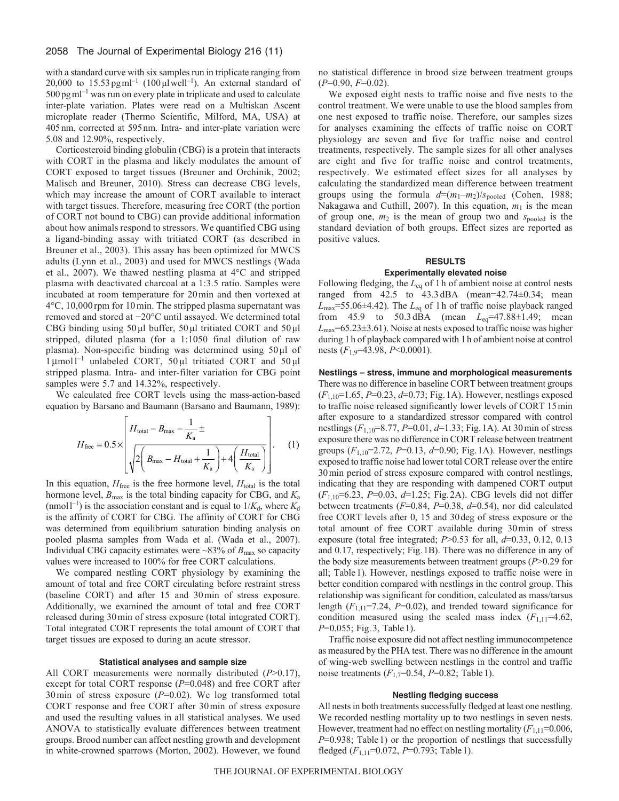with a standard curve with six samples run in triplicate ranging from 20,000 to  $15.53$  pg ml<sup>-1</sup> (100 µl well<sup>-1</sup>). An external standard of  $500\,\text{pg}\,\text{m}$ <sup>1</sup> was run on every plate in triplicate and used to calculate inter-plate variation. Plates were read on a Multiskan Ascent microplate reader (Thermo Scientific, Milford, MA, USA) at 405nm, corrected at 595nm. Intra- and inter-plate variation were 5.08 and 12.90%, respectively.

Corticosteroid binding globulin (CBG) is a protein that interacts with CORT in the plasma and likely modulates the amount of CORT exposed to target tissues (Breuner and Orchinik, 2002; Malisch and Breuner, 2010). Stress can decrease CBG levels, which may increase the amount of CORT available to interact with target tissues. Therefore, measuring free CORT (the portion of CORT not bound to CBG) can provide additional information about how animals respond to stressors. We quantified CBG using a ligand-binding assay with tritiated CORT (as described in Breuner et al., 2003). This assay has been optimized for MWCS adults (Lynn et al., 2003) and used for MWCS nestlings (Wada et al., 2007). We thawed nestling plasma at 4°C and stripped plasma with deactivated charcoal at a 1:3.5 ratio. Samples were incubated at room temperature for 20min and then vortexed at 4°C, 10,000 rpm for 10min. The stripped plasma supernatant was removed and stored at −20°C until assayed. We determined total CBG binding using 50μl buffer, 50μl tritiated CORT and 50μl stripped, diluted plasma (for a 1:1050 final dilution of raw plasma). Non-specific binding was determined using 50μl of 1 μmol<sup>1-1</sup> unlabeled CORT, 50 μl tritiated CORT and 50 μl stripped plasma. Intra- and inter-filter variation for CBG point samples were 5.7 and 14.32%, respectively.

We calculated free CORT levels using the mass-action-based equation by Barsano and Baumann (Barsano and Baumann, 1989):

$$
H_{\text{free}} = 0.5 \times \left[ \frac{H_{\text{total}} - B_{\text{max}} - \frac{1}{K_{\text{a}}} \pm \sqrt{2 \left( B_{\text{max}} - H_{\text{total}} + \frac{1}{K_{\text{a}}} \right) + 4 \left( \frac{H_{\text{total}}}{K_{\text{a}}} \right)} \right].
$$
 (1)

In this equation,  $H_{\text{free}}$  is the free hormone level,  $H_{\text{total}}$  is the total hormone level, *B*max is the total binding capacity for CBG, and *K*<sup>a</sup> (nmol<sup> $1^{-1}$ </sup>) is the association constant and is equal to  $1/K_d$ , where  $K_d$ is the affinity of CORT for CBG. The affinity of CORT for CBG was determined from equilibrium saturation binding analysis on pooled plasma samples from Wada et al. (Wada et al., 2007). Individual CBG capacity estimates were  $\sim$ 83% of  $B_{\text{max}}$  so capacity values were increased to 100% for free CORT calculations.

We compared nestling CORT physiology by examining the amount of total and free CORT circulating before restraint stress (baseline CORT) and after 15 and 30min of stress exposure. Additionally, we examined the amount of total and free CORT released during 30min of stress exposure (total integrated CORT). Total integrated CORT represents the total amount of CORT that target tissues are exposed to during an acute stressor.

## **Statistical analyses and sample size**

All CORT measurements were normally distributed (*P*>0.17), except for total CORT response (*P*=0.048) and free CORT after 30min of stress exposure (*P*=0.02). We log transformed total CORT response and free CORT after 30min of stress exposure and used the resulting values in all statistical analyses. We used ANOVA to statistically evaluate differences between treatment groups. Brood number can affect nestling growth and development in white-crowned sparrows (Morton, 2002). However, we found no statistical difference in brood size between treatment groups (*P*=0.90, *F*=0.02).

We exposed eight nests to traffic noise and five nests to the control treatment. We were unable to use the blood samples from one nest exposed to traffic noise. Therefore, our samples sizes for analyses examining the effects of traffic noise on CORT physiology are seven and five for traffic noise and control treatments, respectively. The sample sizes for all other analyses are eight and five for traffic noise and control treatments, respectively. We estimated effect sizes for all analyses by calculating the standardized mean difference between treatment groups using the formula  $d=(m_1-m_2)/s_{\text{pooled}}$  (Cohen, 1988; Nakagawa and Cuthill, 2007). In this equation,  $m_1$  is the mean of group one, *m*<sup>2</sup> is the mean of group two and *s*pooled is the standard deviation of both groups. Effect sizes are reported as positive values.

# **RESULTS Experimentally elevated noise**

Following fledging, the *L*eq of 1h of ambient noise at control nests ranged from 42.5 to 43.3 dBA (mean=42.74±0.34; mean *L*max=55.06±4.42). The *L*eq of 1h of traffic noise playback ranged from 45.9 to 50.3 dBA (mean *L*eq=47.88±1.49; mean *L*max=65.23±3.61). Noise at nests exposed to traffic noise was higher during 1h of playback compared with 1h of ambient noise at control nests (*F*1,9=43.98, *P*<0.0001).

**Nestlings – stress, immune and morphological measurements** There was no difference in baseline CORT between treatment groups (*F*1,10=1.65, *P*=0.23, *d*=0.73; Fig.1A). However, nestlings exposed to traffic noise released significantly lower levels of CORT 15min after exposure to a standardized stressor compared with control nestlings (*F*1,10=8.77, *P*=0.01, *d*=1.33; Fig.1A). At 30min of stress exposure there was no difference in CORT release between treatment groups (*F*1,10=2.72, *P*=0.13, *d*=0.90; Fig.1A). However, nestlings exposed to traffic noise had lower total CORT release over the entire 30min period of stress exposure compared with control nestlings, indicating that they are responding with dampened CORT output (*F*1,10=6.23, *P*=0.03, *d*=1.25; Fig.2A). CBG levels did not differ between treatments (*F*=0.84, *P*=0.38, *d*=0.54), nor did calculated free CORT levels after 0, 15 and 30deg of stress exposure or the total amount of free CORT available during 30min of stress exposure (total free integrated; *P*>0.53 for all, *d*=0.33, 0.12, 0.13 and 0.17, respectively; Fig.1B). There was no difference in any of the body size measurements between treatment groups (*P*>0.29 for all; Table1). However, nestlings exposed to traffic noise were in better condition compared with nestlings in the control group. This relationship was significant for condition, calculated as mass/tarsus length (*F*1,11=7.24, *P*=0.02), and trended toward significance for condition measured using the scaled mass index  $(F_{1,11}=4.62)$ , *P*=0.055; Fig. 3, Table 1).

Traffic noise exposure did not affect nestling immunocompetence as measured by the PHA test. There was no difference in the amount of wing-web swelling between nestlings in the control and traffic noise treatments (*F*1,7=0.54, *P*=0.82; Table1).

#### **Nestling fledging success**

All nests in both treatments successfully fledged at least one nestling. We recorded nestling mortality up to two nestlings in seven nests. However, treatment had no effect on nestling mortality  $(F_{1,11}=0.006)$ , *P*=0.938; Table 1) or the proportion of nestlings that successfully fledged (*F*1,11=0.072, *P*=0.793; Table1).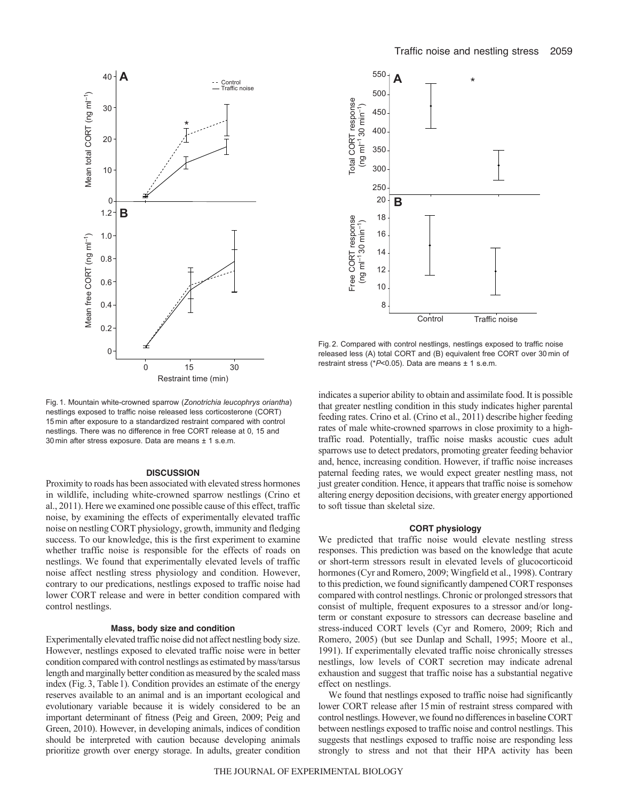

Fig. 1. Mountain white-crowned sparrow (*Zonotrichia leucophrys oriantha*) nestlings exposed to traffic noise released less corticosterone (CORT) 15 min after exposure to a standardized restraint compared with control nestlings. There was no difference in free CORT release at 0, 15 and 30 min after stress exposure. Data are means ± 1 s.e.m.

### **DISCUSSION**

Proximity to roads has been associated with elevated stress hormones in wildlife, including white-crowned sparrow nestlings (Crino et al., 2011). Here we examined one possible cause of this effect, traffic noise, by examining the effects of experimentally elevated traffic noise on nestling CORT physiology, growth, immunity and fledging success. To our knowledge, this is the first experiment to examine whether traffic noise is responsible for the effects of roads on nestlings. We found that experimentally elevated levels of traffic noise affect nestling stress physiology and condition. However, contrary to our predications, nestlings exposed to traffic noise had lower CORT release and were in better condition compared with control nestlings.

## **Mass, body size and condition**

Experimentally elevated traffic noise did not affect nestling body size. However, nestlings exposed to elevated traffic noise were in better condition compared with control nestlings as estimated by mass/tarsus length and marginally better condition as measured by the scaled mass index (Fig.3, Table1). Condition provides an estimate of the energy reserves available to an animal and is an important ecological and evolutionary variable because it is widely considered to be an important determinant of fitness (Peig and Green, 2009; Peig and Green, 2010). However, in developing animals, indices of condition should be interpreted with caution because developing animals prioritize growth over energy storage. In adults, greater condition



Fig. 2. Compared with control nestlings, nestlings exposed to traffic noise released less (A) total CORT and (B) equivalent free CORT over 30 min of restraint stress (\**P*<0.05). Data are means ± 1 s.e.m.

indicates a superior ability to obtain and assimilate food. It is possible that greater nestling condition in this study indicates higher parental feeding rates. Crino et al. (Crino et al., 2011) describe higher feeding rates of male white-crowned sparrows in close proximity to a hightraffic road. Potentially, traffic noise masks acoustic cues adult sparrows use to detect predators, promoting greater feeding behavior and, hence, increasing condition. However, if traffic noise increases paternal feeding rates, we would expect greater nestling mass, not just greater condition. Hence, it appears that traffic noise is somehow altering energy deposition decisions, with greater energy apportioned to soft tissue than skeletal size.

## **CORT physiology**

We predicted that traffic noise would elevate nestling stress responses. This prediction was based on the knowledge that acute or short-term stressors result in elevated levels of glucocorticoid hormones (Cyr and Romero, 2009; Wingfield et al., 1998). Contrary to this prediction, we found significantly dampened CORT responses compared with control nestlings. Chronic or prolonged stressors that consist of multiple, frequent exposures to a stressor and/or longterm or constant exposure to stressors can decrease baseline and stress-induced CORT levels (Cyr and Romero, 2009; Rich and Romero, 2005) (but see Dunlap and Schall, 1995; Moore et al., 1991). If experimentally elevated traffic noise chronically stresses nestlings, low levels of CORT secretion may indicate adrenal exhaustion and suggest that traffic noise has a substantial negative effect on nestlings.

We found that nestlings exposed to traffic noise had significantly lower CORT release after 15min of restraint stress compared with control nestlings. However, we found no differences in baseline CORT between nestlings exposed to traffic noise and control nestlings. This suggests that nestlings exposed to traffic noise are responding less strongly to stress and not that their HPA activity has been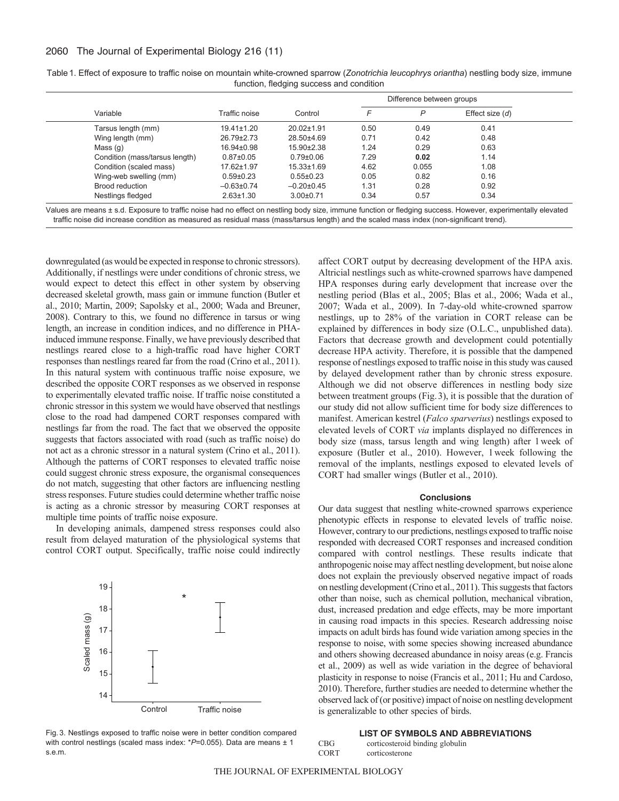# 2060 The Journal of Experimental Biology 216 (11)

| Variable                       | Traffic noise    | Control          | Difference between groups |       |                   |
|--------------------------------|------------------|------------------|---------------------------|-------|-------------------|
|                                |                  |                  | F                         | P     | Effect size $(d)$ |
| Tarsus length (mm)             | $19.41 \pm 1.20$ | 20.02±1.91       | 0.50                      | 0.49  | 0.41              |
| Wing length (mm)               | 26.79±2.73       | 28.50±4.69       | 0.71                      | 0.42  | 0.48              |
| Mass(q)                        | $16.94 \pm 0.98$ | $15.90 \pm 2.38$ | 1.24                      | 0.29  | 0.63              |
| Condition (mass/tarsus length) | $0.87 \pm 0.05$  | $0.79 \pm 0.06$  | 7.29                      | 0.02  | 1.14              |
| Condition (scaled mass)        | 17.62±1.97       | $15.33 \pm 1.69$ | 4.62                      | 0.055 | 1.08              |
| Wing-web swelling (mm)         | $0.59 \pm 0.23$  | $0.55 \pm 0.23$  | 0.05                      | 0.82  | 0.16              |
| Brood reduction                | $-0.63 \pm 0.74$ | $-0.20\pm0.45$   | 1.31                      | 0.28  | 0.92              |
| Nestlings fledged              | $2.63 \pm 1.30$  | $3.00 \pm 0.71$  | 0.34                      | 0.57  | 0.34              |

| Table 1. Effect of exposure to traffic noise on mountain white-crowned sparrow (Zonotrichia leucophrys oriantha) nestling body size, immune |  |
|---------------------------------------------------------------------------------------------------------------------------------------------|--|
| function, fledging success and condition                                                                                                    |  |

Values are means ± s.d. Exposure to traffic noise had no effect on nestling body size, immune function or fledging success. However, experimentally elevated traffic noise did increase condition as measured as residual mass (mass/tarsus length) and the scaled mass index (non-significant trend).

downregulated (as would be expected in response to chronic stressors). Additionally, if nestlings were under conditions of chronic stress, we would expect to detect this effect in other system by observing decreased skeletal growth, mass gain or immune function (Butler et al., 2010; Martin, 2009; Sapolsky et al., 2000; Wada and Breuner, 2008). Contrary to this, we found no difference in tarsus or wing length, an increase in condition indices, and no difference in PHAinduced immune response. Finally, we have previously described that nestlings reared close to a high-traffic road have higher CORT responses than nestlings reared far from the road (Crino et al., 2011). In this natural system with continuous traffic noise exposure, we described the opposite CORT responses as we observed in response to experimentally elevated traffic noise. If traffic noise constituted a chronic stressor in this system we would have observed that nestlings close to the road had dampened CORT responses compared with nestlings far from the road. The fact that we observed the opposite suggests that factors associated with road (such as traffic noise) do not act as a chronic stressor in a natural system (Crino et al., 2011). Although the patterns of CORT responses to elevated traffic noise could suggest chronic stress exposure, the organismal consequences do not match, suggesting that other factors are influencing nestling stress responses. Future studies could determine whether traffic noise is acting as a chronic stressor by measuring CORT responses at multiple time points of traffic noise exposure.

In developing animals, dampened stress responses could also result from delayed maturation of the physiological systems that control CORT output. Specifically, traffic noise could indirectly



Fig. 3. Nestlings exposed to traffic noise were in better condition compared with control nestlings (scaled mass index: \*P=0.055). Data are means ± 1 s.e.m.

affect CORT output by decreasing development of the HPA axis. Altricial nestlings such as white-crowned sparrows have dampened HPA responses during early development that increase over the nestling period (Blas et al., 2005; Blas et al., 2006; Wada et al., 2007; Wada et al., 2009). In 7-day-old white-crowned sparrow nestlings, up to 28% of the variation in CORT release can be explained by differences in body size (O.L.C., unpublished data). Factors that decrease growth and development could potentially decrease HPA activity. Therefore, it is possible that the dampened response of nestlings exposed to traffic noise in this study was caused by delayed development rather than by chronic stress exposure. Although we did not observe differences in nestling body size between treatment groups (Fig.3), it is possible that the duration of our study did not allow sufficient time for body size differences to manifest. American kestrel (*Falco sparverius*) nestlings exposed to elevated levels of CORT *via* implants displayed no differences in body size (mass, tarsus length and wing length) after 1week of exposure (Butler et al., 2010). However, 1week following the removal of the implants, nestlings exposed to elevated levels of CORT had smaller wings (Butler et al., 2010).

#### **Conclusions**

Our data suggest that nestling white-crowned sparrows experience phenotypic effects in response to elevated levels of traffic noise. However, contrary to our predictions, nestlings exposed to traffic noise responded with decreased CORT responses and increased condition compared with control nestlings. These results indicate that anthropogenic noise may affect nestling development, but noise alone does not explain the previously observed negative impact of roads on nestling development (Crino et al., 2011). This suggests that factors other than noise, such as chemical pollution, mechanical vibration, dust, increased predation and edge effects, may be more important in causing road impacts in this species. Research addressing noise impacts on adult birds has found wide variation among species in the response to noise, with some species showing increased abundance and others showing decreased abundance in noisy areas (e.g. Francis et al., 2009) as well as wide variation in the degree of behavioral plasticity in response to noise (Francis et al., 2011; Hu and Cardoso, 2010). Therefore, further studies are needed to determine whether the observed lack of (or positive) impact of noise on nestling development is generalizable to other species of birds.

#### **LIST OF SYMBOLS AND ABBREVIATIONS** CBG corticosteroid binding globulin

| UBU.        | corticosteroid binding giobuline |
|-------------|----------------------------------|
| <b>CORT</b> | corticosterone                   |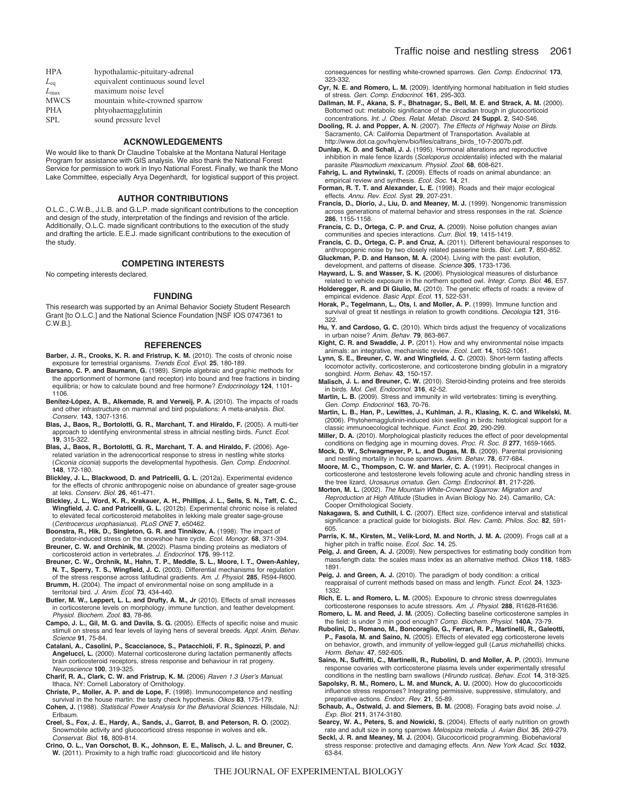| <b>HPA</b>    | hypothalamic-pituitary-adrenal    |
|---------------|-----------------------------------|
| $L_{eq}$      | equivalent continuous sound level |
| $L_{\rm max}$ | maximum noise level               |
| <b>MWCS</b>   | mountain white-crowned sparrow    |
| <b>PHA</b>    | phtyohaemagglutinin               |
| SPL           | sound pressure level              |

#### **ACKNOWLEDGEMENTS**

We would like to thank Dr Claudine Tobalske at the Montana Natural Heritage Program for assistance with GIS analysis. We also thank the National Forest Service for permission to work in Inyo National Forest. Finally, we thank the Mono Lake Committee, especially Arya Degenhardt, for logistical support of this project.

## **AUTHOR CONTRIBUTIONS**

O.L.C., C.W.B., J.L.B. and G.L.P. made significant contributions to the conception and design of the study, interpretation of the findings and revision of the article. Additionally, O.L.C. made significant contributions to the execution of the study and drafting the article. E.E.J. made significant contributions to the execution of the study.

#### **COMPETING INTERESTS**

No competing interests declared.

#### **FUNDING**

This research was supported by an Animal Behavior Society Student Research Grant [to O.L.C.] and the National Science Foundation [NSF IOS 0747361 to C.W.B.].

#### **REFERENCES**

- **Barber, J. R., Crooks, K. R. and Fristrup, K. M.** (2010). The costs of chronic noise exposure for terrestrial organisms. *Trends Ecol. Evol.* **25**, 180-189.
- **Barsano, C. P. and Baumann, G.** (1989). Simple algebraic and graphic methods for the apportionment of hormone (and receptor) into bound and free fractions in binding equilibria; or how to calculate bound and free hormone? *Endocrinology* **124**, 1101- 1106.
- **Benítez-López, A. B., Alkemade, R. and Verweij, P. A.** (2010). The impacts of roads and other infrastructure on mammal and bird populations: A meta-analysis. *Biol. Conserv.* **143**, 1307-1316.
- **Blas, J., Baos, R., Bortolotti, G. R., Marchant, T. and Hiraldo, F.** (2005). A multi-tier approach to identifying environmental stress in altricial nestling birds. *Funct. Ecol.* **19**, 315-322.
- **Blas, J., Baos, R., Bortolotti, G. R., Marchant, T. A. and Hiraldo, F.** (2006). Agerelated variation in the adrenocortical response to stress in nestling white storks (*Ciconia ciconia*) supports the developmental hypothesis. *Gen. Comp. Endocrinol.* **148**, 172-180.
- **Blickley, J. L., Blackwood, D. and Patricelli, G. L.** (2012a). Experimental evidence for the effects of chronic anthropogenic noise on abundance of greater sage-grouse at leks. *Conserv. Biol.* **26**, 461-471.
- **Blickley, J. L., Word, K. R., Krakauer, A. H., Phillips, J. L., Sells, S. N., Taff, C. C., Wingfield, J. C. and Patricelli, G. L.** (2012b). Experimental chronic noise is related to elevated fecal corticosteroid metabolites in lekking male greater sage-grouse (*Centrocercus urophasianus*). *PLoS ONE* **7**, e50462.
- **Boonstra, R., Hik, D., Singleton, G. R. and Tinnikov, A.** (1998). The impact of predator-induced stress on the snowshoe hare cycle. *Ecol. Monogr.* **68**, 371-394.
- **Breuner, C. W. and Orchinik, M.** (2002). Plasma binding proteins as mediators of corticosteroid action in vertebrates. *J. Endocrinol.* **175**, 99-112.

**Breuner, C. W., Orchnik, M., Hahn, T. P., Meddle, S. L., Moore, I. T., Owen-Ashley, N. T., Sperry, T. S., Wingfield, J. C.** (2003). Differential mechanisms for regulation of the stress response across latitudinal gradients. *Am. J. Physiol.* **285**, R594-R600. **Brumm, H.** (2004). The impact of environmental noise on song amplitude in a

territorial bird. *J. Anim. Ecol.* **73**, 434-440.

**Butler, M. W., Leppert, L. L. and Drufty, A. M., Jr** (2010). Effects of small increases in corticosterone levels on morphology, immune function, and feather development. *Physiol. Biochem. Zool.* **83**, 78-86.

- **Campo, J. L., Gil, M. G. and Davila, S. G.** (2005). Effects of specific noise and music stimuli on stress and fear levels of laying hens of several breeds. *Appl. Anim. Behav. Science* **91**, 75-84.
- **Catalani, A., Casolini, P., Scaccianoce, S., Patacchioli, F. R., Spinozzi, P. and Angelucci, L.** (2000). Maternal corticosterone during lactation permanently affects brain corticosteroid receptors, stress response and behaviour in rat progeny. *Neuroscience* **100**, 319-325.
- **Charif, R. A., Clark, C. W. and Fristrup, K. M.** (2006) *Raven 1.3 User*'*s Manual*. Ithaca, NY: Cornell Laboratory of Ornithology.
- **Christe, P., Moller, A. P. and de Lope, F.** (1998). Immunocompetence and nestling survival in the house martin: the tasty check hypothesis. *Oikos* **83**, 175-179.
- **Cohen, J.** (1988). *Statistical Power Analysis for the Behavioral Sciences*. Hillsdale, NJ: Erlbaum.

**Creel, S., Fox, J. E., Hardy, A., Sands, J., Garrot, B. and Peterson, R. O.** (2002). Snowmobile activity and glucocorticoid stress response in wolves and elk. *Conservat. Biol.* **16**, 809-814.

**Crino, O. L., Van Oorschot, B. K., Johnson, E. E., Malisch, J. L. and Breuner, C. W.** (2011). Proximity to a high traffic road: glucocorticoid and life history

consequences for nestling white-crowned sparrows. *Gen. Comp. Endocrinol.* **173**, 323-332.

- **Cyr, N. E. and Romero, L. M.** (2009). Identifying hormonal habituation in field studies of stress. *Gen. Comp. Endocrinol.* **161**, 295-303.
- **Dallman, M. F., Akana, S. F., Bhatnagar, S., Bell, M. E. and Strack, A. M.** (2000). Bottomed out: metabolic significance of the circadian trough in glucocorticoid concentrations. *Int. J. Obes. Relat. Metab. Disord.* **24 Suppl. 2**, S40-S46.
- **Dooling, R. J. and Popper, A. N**. (2007). *The Effects of Highway Noise on Birds*. Sacramento, CA: California Department of Transportation. Available at http://www.dot.ca.gov/hq/env/bio/files/caltrans\_birds\_10-7-2007b.pdf.
- **Dunlap, K. D. and Schall, J. J.** (1995). Hormonal alterations and reproductive inhibition in male fence lizards (*Sceloporus occidentalis*) infected with the malarial parasite *Plasmodium mexicanum. Physiol. Zool.* **68**, 608-621.
- **Fahrig, L. and Rytwinski, T.** (2009). Effects of roads on animal abundance: an empirical review and synthesis. *Ecol. Soc.* **14**, 21.
- **Forman, R. T. T. and Alexander, L. E.** (1998). Roads and their major ecological effects. *Annu. Rev. Ecol. Syst.* **29**, 207-231.
- **Francis, D., Diorio, J., Liu, D. and Meaney, M. J.** (1999). Nongenomic transmission across generations of maternal behavior and stress responses in the rat. *Science* **286**, 1155-1158.
- **Francis, C. D., Ortega, C. P. and Cruz, A.** (2009). Noise pollution changes avian communities and species interactions. *Curr. Biol.* **19**, 1415-1419.
- **Francis, C. D., Ortega, C. P. and Cruz, A.** (2011). Different behavioural responses to anthropogenic noise by two closely related passerine birds. *Biol. Lett.* **7**, 850-852.
- **Gluckman, P. D. and Hanson, M. A.** (2004). Living with the past: evolution, development, and patterns of disease. *Science* **305**, 1733-1736.
- **Hayward, L. S. and Wasser, S. K.** (2006). Physiological measures of disturbance related to vehicle exposure in the northern spotted owl. *Integr. Comp. Biol.* **46**, E57.
- **Holderegger, R. and Di Giulio, M.** (2010). The genetic effects of roads: a review of empirical evidence. *Basic Appl. Ecol.* **11**, 522-531.
- **Horak, P., Tegelmann, L., Ots, I. and Moller, A. P.** (1999). Immune function and survival of great tit nestlings in relation to growth conditions. *Oecologia* **121**, 316- 322.
- **Hu, Y. and Cardoso, G. C.** (2010). Which birds adjust the frequency of vocalizations in urban noise? *Anim. Behav.* **79**, 863-867.
- **Kight, C. R. and Swaddle, J. P.** (2011). How and why environmental noise impacts animals: an integrative, mechanistic review. *Ecol. Lett.* **14**, 1052-1061.
- **Lynn, S. E., Breuner, C. W. and Wingfield, J. C.** (2003). Short-term fasting affects locomotor activity, corticosterone, and corticosterone binding globulin in a migratory songbird. *Horm. Behav.* **43**, 150-157.
- **Malisch, J. L. and Breuner, C. W.** (2010). Steroid-binding proteins and free steroids in birds. *Mol. Cell. Endocrinol.* **316**, 42-52.
- **Martin, L. B.** (2009). Stress and immunity in wild vertebrates: timing is everything. *Gen. Comp. Endocrinol.* **163**, 70-76.
- **Martin, L. B., Han, P., Lewittes, J., Kuhlman, J. R., Klasing, K. C. and Wikelski, M.** (2006). Phytohemagglutinin-induced skin swelling in birds: histological support for a classic immunoecological technique. *Funct. Ecol.* **20**, 290-299.
- **Miller, D. A.** (2010). Morphological plasticity reduces the effect of poor developmental conditions on fledging age in mourning doves. *Proc. R. Soc. B* **277**, 1659-1665.
- **Mock, D. W., Schwagmeyer, P. L. and Dugas, M. B.** (2009). Parental provisioning and nestling mortality in house sparrows. *Anim. Behav.* **78**, 677-684.
- **Moore, M. C., Thompson, C. W. and Marler, C. A.** (1991). Reciprocal changes in corticosterone and testosterone levels following acute and chronic handling stress in the tree lizard, *Urosaurus ornatus*. *Gen. Comp. Endocrinol.* **81**, 217-226.
- **Morton, M. L.** (2002). *The Mountain White-Crowned Sparrow: Migration and Reproduction at High Altitude* (Studies in Avian Biology No. 24). Camarillo, CA: Cooper Ornithological Society.
- **Nakagawa, S. and Cuthill, I. C.** (2007). Effect size, confidence interval and statistical significance: a practical guide for biologists. *Biol. Rev. Camb. Philos. Soc.* **82**, 591- 605.
- Parris, K. M., Kirsten, M., Velik-Lord, M. and North, J. M. A. (2009). Frogs call at a higher pitch in traffic noise. *Ecol. Soc.* **14**, 25.
- Peig, J. and Green, A. J. (2009). New perspectives for estimating body condition from mass/length data: the scales mass index as an alternative method. *Oikos* **118**, 1883- 1891.
- Peig, J. and Green, A. J. (2010). The paradigm of body condition: a critical reappraisal of current methods based on mass and length. *Funct. Ecol.* **24**, 1323- 1332.
- **Rich, E. L. and Romero, L. M.** (2005). Exposure to chronic stress downregulates corticosterone responses to acute stressors. *Am. J. Physiol.* **288**, R1628-R1636.
- **Romero, L. M. and Reed, J. M.** (2005). Collecting baseline corticosterone samples in the field: is under 3 min good enough? *Comp. Biochem. Physiol.* **140A**, 73-79.
- **Rubolini, D., Romano, M., Boncoraglio, G., Ferrari, R. P., Martinelli, R., Galeotti, P., Fasola, M. and Saino, N.** (2005). Effects of elevated egg corticosterone levels on behavior, growth, and immunity of yellow-legged gull (*Larus michahellis*) chicks. *Horm. Behav.* **47**, 592-605.
- **Saino, N., Suffritti, C., Martinelli, R., Rubolini, D. and Moller, A. P.** (2003). Immune response covaries with corticosterone plasma levels under experimentally stressful conditions in the nestling barn swallows (*Hirundo rustica*). *Behav. Ecol.* **14**, 318-325.
- **Sapolsky, R. M., Romero, L. M. and Munck, A. U.** (2000). How do glucocorticoids influence stress responses? Integrating permissive, suppressive, stimulatory, and preparative actions. *Endocr. Rev.* **21**, 55-89.
- **Schaub, A., Ostwald, J. and Siemers, B. M.** (2008). Foraging bats avoid noise. *J. Exp. Biol.* **211**, 3174-3180.
- **Searcy, W. A., Peters, S. and Nowicki, S.** (2004). Effects of early nutrition on growth rate and adult size in song sparrows *Melospiza melodia. J. Avian Biol.* **35**, 269-279. **Seckl, J. R. and Meaney, M. J.** (2004). Glucocorticoid programming. Biobehavioral stress response: protective and damaging effects. *Ann. New York Acad. Sci.* **1032**, 63-84.